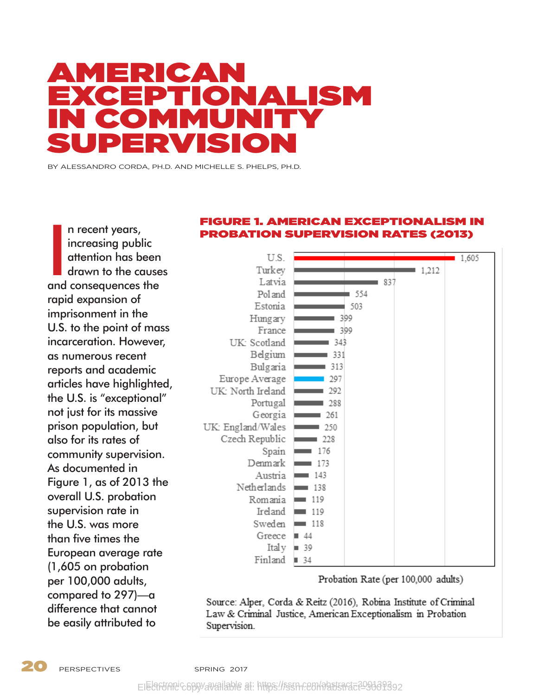# AMERICAN EXCEPTIONALISM IN COMMUNITY SUPERVISION

BY ALESSANDRO CORDA, PH.D. AND MICHELLE S. PHELPS, PH.D.

n recent years,<br>increasing public<br>attention has been<br>drawn to the cause<br>and consequences the n recent years, increasing public attention has been drawn to the causes rapid expansion of imprisonment in the U.S. to the point of mass incarceration. However, as numerous recent reports and academic articles have highlighted, the U.S. is "exceptional" not just for its massive prison population, but also for its rates of community supervision. As documented in Figure 1, as of 2013 the overall U.S. probation supervision rate in the U.S. was more than five times the European average rate (1,605 on probation per 100,000 adults, compared to 297)—a difference that cannot be easily attributed to

### FIGURE 1. AMERICAN EXCEPTIONALISM IN PROBATION SUPERVISION RATES (2013)



Probation Rate (per 100,000 adults)

Source: Alper, Corda & Reitz (2016), Robina Institute of Criminal Law & Criminal Justice, American Exceptionalism in Probation Supervision.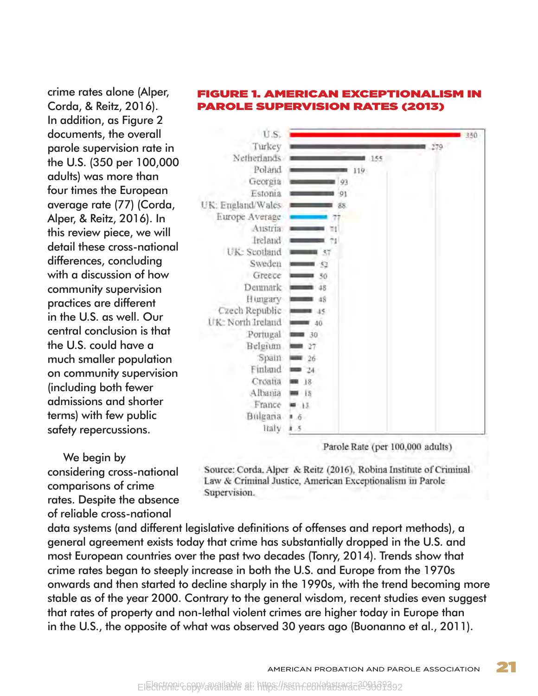crime rates alone (Alper, Corda, & Reitz, 2016). In addition, as Figure 2 documents, the overall parole supervision rate in the U.S. (350 per 100,000 adults) was more than four times the European average rate (77) (Corda, Alper, & Reitz, 2016). In this review piece, we will detail these cross-national differences, concluding with a discussion of how community supervision practices are different in the U.S. as well. Our central conclusion is that the U.S. could have a much smaller population on community supervision (including both fewer admissions and shorter terms) with few public safety repercussions.

We begin by

comparisons of crime

considering cross-national

rates. Despite the absence of reliable cross-national

PAROLE SUPERVISION RATES (2013)



data systems (and different legislative definitions of offenses and report methods), a general agreement exists today that crime has substantially dropped in the U.S. and most European countries over the past two decades (Tonry, 2014). Trends show that crime rates began to steeply increase in both the U.S. and Europe from the 1970s onwards and then started to decline sharply in the 1990s, with the trend becoming more stable as of the year 2000. Contrary to the general wisdom, recent studies even suggest that rates of property and non-lethal violent crimes are higher today in Europe than in the U.S., the opposite of what was observed 30 years ago (Buonanno et al., 2011).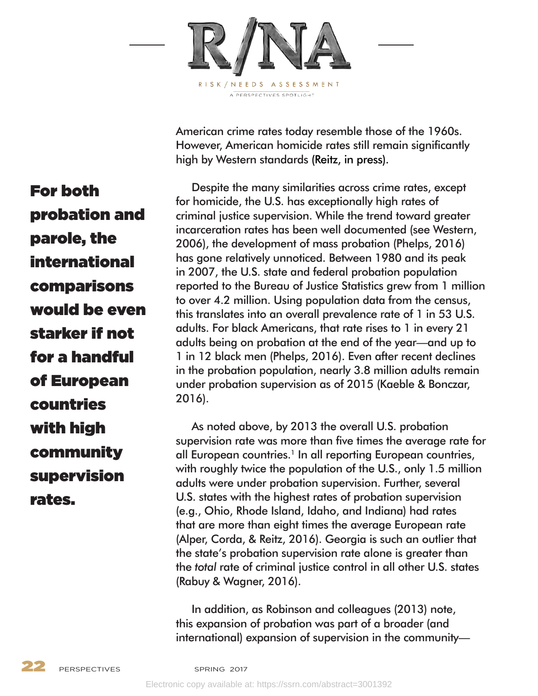

American crime rates today resemble those of the 1960s. However, American homicide rates still remain significantly high by Western standards (Reitz, in press).

Despite the many similarities across crime rates, except for homicide, the U.S. has exceptionally high rates of criminal justice supervision. While the trend toward greater incarceration rates has been well documented (see Western, 2006), the development of mass probation (Phelps, 2016) has gone relatively unnoticed. Between 1980 and its peak in 2007, the U.S. state and federal probation population reported to the Bureau of Justice Statistics grew from 1 million to over 4.2 million. Using population data from the census, this translates into an overall prevalence rate of 1 in 53 U.S. adults. For black Americans, that rate rises to 1 in every 21 adults being on probation at the end of the year—and up to 1 in 12 black men (Phelps, 2016). Even after recent declines in the probation population, nearly 3.8 million adults remain under probation supervision as of 2015 (Kaeble & Bonczar, 2016).

As noted above, by 2013 the overall U.S. probation supervision rate was more than five times the average rate for all European countries.<sup>1</sup> In all reporting European countries, with roughly twice the population of the U.S., only 1.5 million adults were under probation supervision. Further, several U.S. states with the highest rates of probation supervision (e.g., Ohio, Rhode Island, Idaho, and Indiana) had rates that are more than eight times the average European rate (Alper, Corda, & Reitz, 2016). Georgia is such an outlier that the state's probation supervision rate alone is greater than the *total* rate of criminal justice control in all other U.S. states (Rabuy & Wagner, 2016).

In addition, as Robinson and colleagues (2013) note, this expansion of probation was part of a broader (and international) expansion of supervision in the community—

For both probation and parole, the international comparisons would be even starker if not for a handful of European countries with high community supervision rates.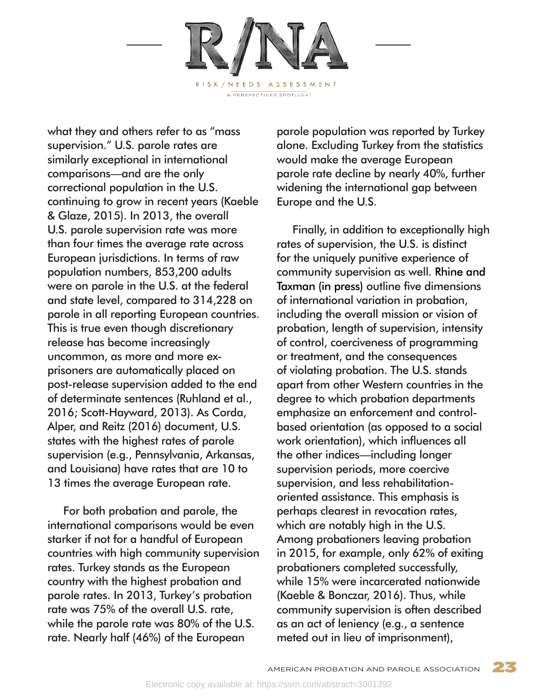

what they and others refer to as "mass supervision." U.S. parole rates are similarly exceptional in international comparisons—and are the only correctional population in the U.S. continuing to grow in recent years (Kaeble & Glaze, 2015). In 2013, the overall U.S. parole supervision rate was more than four times the average rate across European jurisdictions. In terms of raw population numbers, 853,200 adults were on parole in the U.S. at the federal and state level, compared to 314,228 on parole in all reporting European countries. This is true even though discretionary release has become increasingly uncommon, as more and more exprisoners are automatically placed on post-release supervision added to the end of determinate sentences (Ruhland et al., 2016; Scott-Hayward, 2013). As Corda, Alper, and Reitz (2016) document, U.S. states with the highest rates of parole supervision (e.g., Pennsylvania, Arkansas, and Louisiana) have rates that are 10 to 13 times the average European rate.

For both probation and parole, the international comparisons would be even starker if not for a handful of European countries with high community supervision rates. Turkey stands as the European country with the highest probation and parole rates. In 2013, Turkey's probation rate was 75% of the overall U.S. rate, while the parole rate was 80% of the U.S. rate. Nearly half (46%) of the European

parole population was reported by Turkey alone. Excluding Turkey from the statistics would make the average European parole rate decline by nearly 40%, further widening the international gap between Europe and the U.S.

Finally, in addition to exceptionally high rates of supervision, the U.S. is distinct for the uniquely punitive experience of community supervision as well. Rhine and Taxman (in press) outline five dimensions of international variation in probation, including the overall mission or vision of probation, length of supervision, intensity of control, coerciveness of programming or treatment, and the consequences of violating probation. The U.S. stands apart from other Western countries in the degree to which probation departments emphasize an enforcement and controlbased orientation (as opposed to a social work orientation), which influences all the other indices—including longer supervision periods, more coercive supervision, and less rehabilitationoriented assistance. This emphasis is perhaps clearest in revocation rates, which are notably high in the U.S. Among probationers leaving probation in 2015, for example, only 62% of exiting probationers completed successfully, while 15% were incarcerated nationwide (Kaeble & Bonczar, 2016). Thus, while community supervision is often described as an act of leniency (e.g., a sentence meted out in lieu of imprisonment),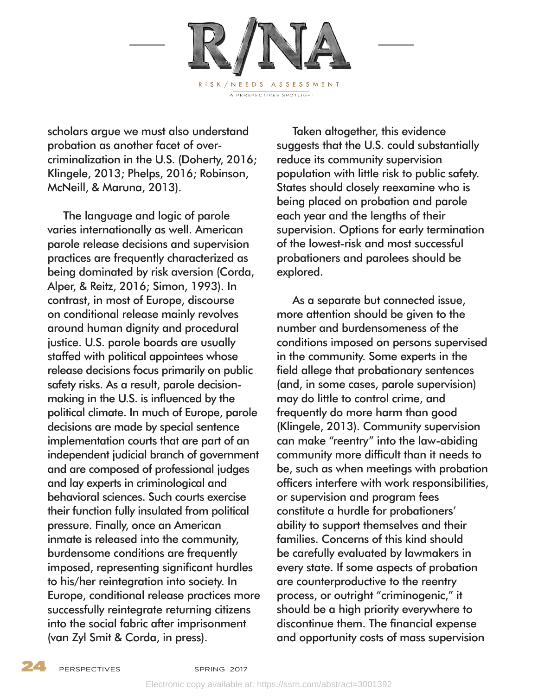

scholars argue we must also understand probation as another facet of overcriminalization in the U.S. (Doherty, 2016; Klingele, 2013; Phelps, 2016; Robinson, McNeill, & Maruna, 2013).

The language and logic of parole varies internationally as well. American parole release decisions and supervision practices are frequently characterized as being dominated by risk aversion (Corda, Alper, & Reitz, 2016; Simon, 1993). In contrast, in most of Europe, discourse on conditional release mainly revolves around human dignity and procedural justice. U.S. parole boards are usually staffed with political appointees whose release decisions focus primarily on public safety risks. As a result, parole decisionmaking in the U.S. is influenced by the political climate. In much of Europe, parole decisions are made by special sentence implementation courts that are part of an independent judicial branch of government and are composed of professional judges and lay experts in criminological and behavioral sciences. Such courts exercise their function fully insulated from political pressure. Finally, once an American inmate is released into the community, burdensome conditions are frequently imposed, representing significant hurdles to his/her reintegration into society. In Europe, conditional release practices more successfully reintegrate returning citizens into the social fabric after imprisonment (van Zyl Smit & Corda, in press).

Taken altogether, this evidence suggests that the U.S. could substantially reduce its community supervision population with little risk to public safety. States should closely reexamine who is being placed on probation and parole each year and the lengths of their supervision. Options for early termination of the lowest-risk and most successful probationers and parolees should be explored.

As a separate but connected issue, more attention should be given to the number and burdensomeness of the conditions imposed on persons supervised in the community. Some experts in the field allege that probationary sentences (and, in some cases, parole supervision) may do little to control crime, and frequently do more harm than good (Klingele, 2013). Community supervision can make "reentry" into the law-abiding community more difficult than it needs to be, such as when meetings with probation officers interfere with work responsibilities, or supervision and program fees constitute a hurdle for probationers' ability to support themselves and their families. Concerns of this kind should be carefully evaluated by lawmakers in every state. If some aspects of probation are counterproductive to the reentry process, or outright "criminogenic," it should be a high priority everywhere to discontinue them. The financial expense and opportunity costs of mass supervision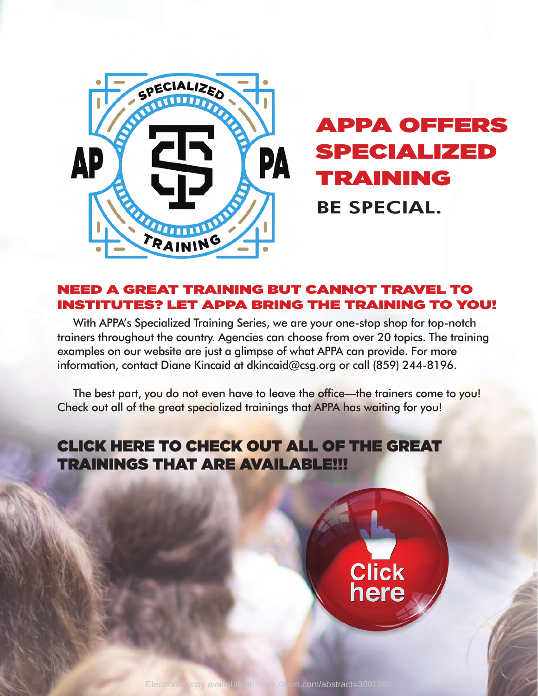

## APPA OFFERS SPECIALIZED TRAINING BE SPECIAL.

## NEED A GREAT TRAINING BUT CANNOT TRAVEL TO INSTITUTES? LET APPA BRING THE TRAINING TO YOU!

With APPA's Specialized Training Series, we are your one-stop shop for top-notch trainers throughout the country. Agencies can choose from over 20 topics. The training examples on our website are just a glimpse of what APPA can provide. For more information, contact Diane Kincaid at dkincaid@csg.org or call (859) 244-8196.

The best part, you do not even have to leave the office—the trainers come to you! Check out all of the great specialized trainings that APPA has waiting for you!

## CLICK HERE TO CHECK OUT ALL OF THE GREAT TRAININGS THAT ARE AVAILABLE!!!

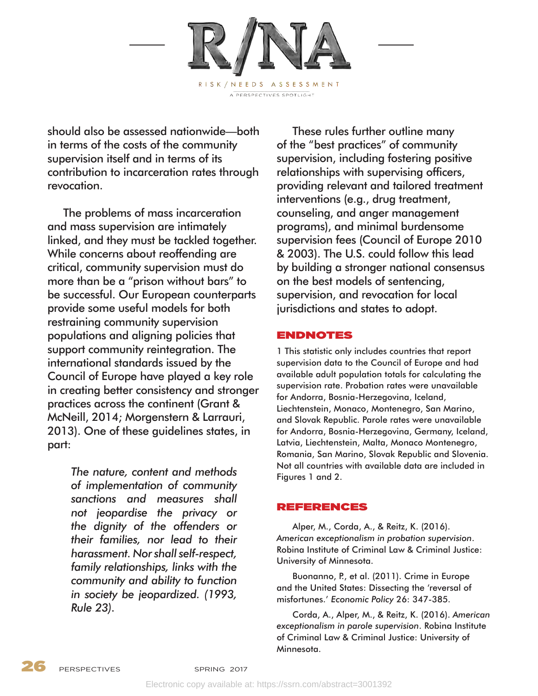

should also be assessed nationwide—both in terms of the costs of the community supervision itself and in terms of its contribution to incarceration rates through revocation.

The problems of mass incarceration and mass supervision are intimately linked, and they must be tackled together. While concerns about reoffending are critical, community supervision must do more than be a "prison without bars" to be successful. Our European counterparts provide some useful models for both restraining community supervision populations and aligning policies that support community reintegration. The international standards issued by the Council of Europe have played a key role in creating better consistency and stronger practices across the continent (Grant & McNeill, 2014; Morgenstern & Larrauri, 2013). One of these guidelines states, in part:

> *The nature, content and methods of implementation of community sanctions and measures shall not jeopardise the privacy or the dignity of the offenders or their families, nor lead to their harassment. Nor shall self-respect, family relationships, links with the community and ability to function in society be jeopardized. (1993, Rule 23).*

These rules further outline many of the "best practices" of community supervision, including fostering positive relationships with supervising officers, providing relevant and tailored treatment interventions (e.g., drug treatment, counseling, and anger management programs), and minimal burdensome supervision fees (Council of Europe 2010 & 2003). The U.S. could follow this lead by building a stronger national consensus on the best models of sentencing, supervision, and revocation for local jurisdictions and states to adopt.

### ENDNOTES

1 This statistic only includes countries that report supervision data to the Council of Europe and had available adult population totals for calculating the supervision rate. Probation rates were unavailable for Andorra, Bosnia-Herzegovina, Iceland, Liechtenstein, Monaco, Montenegro, San Marino, and Slovak Republic. Parole rates were unavailable for Andorra, Bosnia-Herzegovina, Germany, Iceland, Latvia, Liechtenstein, Malta, Monaco Montenegro, Romania, San Marino, Slovak Republic and Slovenia. Not all countries with available data are included in Figures 1 and 2.

#### REFERENCES

Alper, M., Corda, A., & Reitz, K. (2016). *American exceptionalism in probation supervision*. Robina Institute of Criminal Law & Criminal Justice: University of Minnesota.

Buonanno, P., et al. (2011). Crime in Europe and the United States: Dissecting the 'reversal of misfortunes.' *Economic Policy* 26: 347-385.

Corda, A., Alper, M., & Reitz, K. (2016). *American exceptionalism in parole supervision*. Robina Institute of Criminal Law & Criminal Justice: University of Minnesota.